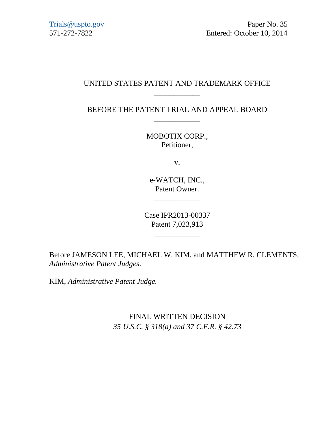# UNITED STATES PATENT AND TRADEMARK OFFICE \_\_\_\_\_\_\_\_\_\_\_\_

BEFORE THE PATENT TRIAL AND APPEAL BOARD \_\_\_\_\_\_\_\_\_\_\_\_

> MOBOTIX CORP., Petitioner,

> > v.

e-WATCH, INC., Patent Owner.

\_\_\_\_\_\_\_\_\_\_\_\_

Case IPR2013-00337 Patent 7,023,913

\_\_\_\_\_\_\_\_\_\_\_\_

Before JAMESON LEE, MICHAEL W. KIM, and MATTHEW R. CLEMENTS, *Administrative Patent Judges*.

KIM, *Administrative Patent Judge.*

FINAL WRITTEN DECISION *35 U.S.C. § 318(a) and 37 C.F.R. § 42.73*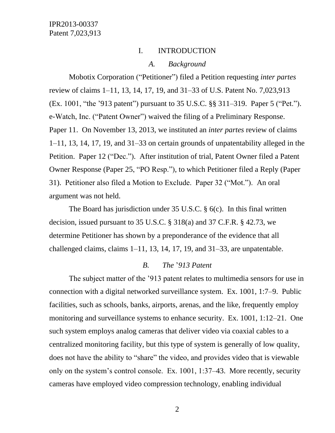#### I. INTRODUCTION

#### *A. Background*

Mobotix Corporation ("Petitioner") filed a Petition requesting *inter partes*  review of claims 1–11, 13, 14, 17, 19, and 31–33 of U.S. Patent No. 7,023,913 (Ex. 1001, "the '913 patent") pursuant to 35 U.S.C. §§ 311–319. Paper 5 ("Pet."). e-Watch, Inc. ("Patent Owner") waived the filing of a Preliminary Response. Paper 11. On November 13, 2013, we instituted an *inter partes* review of claims 1–11, 13, 14, 17, 19, and 31–33 on certain grounds of unpatentability alleged in the Petition. Paper 12 ("Dec."). After institution of trial, Patent Owner filed a Patent Owner Response (Paper 25, "PO Resp."), to which Petitioner filed a Reply (Paper 31). Petitioner also filed a Motion to Exclude. Paper 32 ("Mot."). An oral argument was not held.

The Board has jurisdiction under 35 U.S.C. § 6(c). In this final written decision, issued pursuant to 35 U.S.C. § 318(a) and 37 C.F.R. § 42.73, we determine Petitioner has shown by a preponderance of the evidence that all challenged claims, claims 1–11, 13, 14, 17, 19, and 31–33, are unpatentable.

### *B. The* '*913 Patent*

The subject matter of the '913 patent relates to multimedia sensors for use in connection with a digital networked surveillance system. Ex. 1001, 1:7–9. Public facilities, such as schools, banks, airports, arenas, and the like, frequently employ monitoring and surveillance systems to enhance security. Ex. 1001, 1:12–21. One such system employs analog cameras that deliver video via coaxial cables to a centralized monitoring facility, but this type of system is generally of low quality, does not have the ability to "share" the video, and provides video that is viewable only on the system's control console. Ex. 1001, 1:37–43. More recently, security cameras have employed video compression technology, enabling individual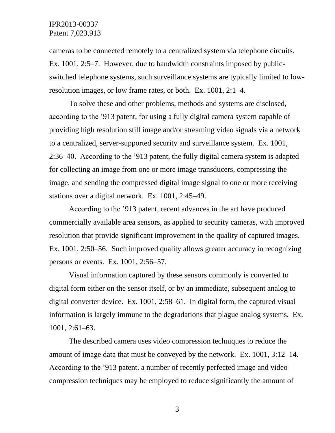cameras to be connected remotely to a centralized system via telephone circuits. Ex. 1001, 2:5–7. However, due to bandwidth constraints imposed by publicswitched telephone systems, such surveillance systems are typically limited to lowresolution images, or low frame rates, or both. Ex. 1001, 2:1–4.

To solve these and other problems, methods and systems are disclosed, according to the '913 patent, for using a fully digital camera system capable of providing high resolution still image and/or streaming video signals via a network to a centralized, server-supported security and surveillance system. Ex. 1001, 2:36–40. According to the '913 patent, the fully digital camera system is adapted for collecting an image from one or more image transducers, compressing the image, and sending the compressed digital image signal to one or more receiving stations over a digital network. Ex. 1001, 2:45–49.

According to the '913 patent, recent advances in the art have produced commercially available area sensors, as applied to security cameras, with improved resolution that provide significant improvement in the quality of captured images. Ex. 1001, 2:50–56. Such improved quality allows greater accuracy in recognizing persons or events. Ex. 1001, 2:56–57.

Visual information captured by these sensors commonly is converted to digital form either on the sensor itself, or by an immediate, subsequent analog to digital converter device. Ex. 1001, 2:58–61. In digital form, the captured visual information is largely immune to the degradations that plague analog systems. Ex. 1001, 2:61–63.

The described camera uses video compression techniques to reduce the amount of image data that must be conveyed by the network. Ex. 1001, 3:12–14. According to the '913 patent, a number of recently perfected image and video compression techniques may be employed to reduce significantly the amount of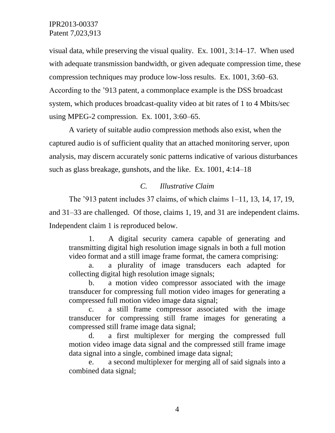visual data, while preserving the visual quality. Ex. 1001, 3:14–17. When used with adequate transmission bandwidth, or given adequate compression time, these compression techniques may produce low-loss results. Ex. 1001, 3:60–63. According to the '913 patent, a commonplace example is the DSS broadcast system, which produces broadcast-quality video at bit rates of 1 to 4 Mbits/sec using MPEG-2 compression. Ex. 1001, 3:60–65.

A variety of suitable audio compression methods also exist, when the captured audio is of sufficient quality that an attached monitoring server, upon analysis, may discern accurately sonic patterns indicative of various disturbances such as glass breakage, gunshots, and the like. Ex. 1001, 4:14–18

#### *C. Illustrative Claim*

The '913 patent includes 37 claims, of which claims 1–11, 13, 14, 17, 19, and 31–33 are challenged. Of those, claims 1, 19, and 31 are independent claims. Independent claim 1 is reproduced below.

1. A digital security camera capable of generating and transmitting digital high resolution image signals in both a full motion video format and a still image frame format, the camera comprising:

a. a plurality of image transducers each adapted for collecting digital high resolution image signals;

b. a motion video compressor associated with the image transducer for compressing full motion video images for generating a compressed full motion video image data signal;

c. a still frame compressor associated with the image transducer for compressing still frame images for generating a compressed still frame image data signal;

d. a first multiplexer for merging the compressed full motion video image data signal and the compressed still frame image data signal into a single, combined image data signal;

e. a second multiplexer for merging all of said signals into a combined data signal;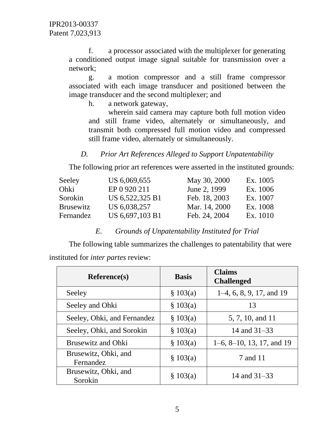f. a processor associated with the multiplexer for generating a conditioned output image signal suitable for transmission over a network;

g. a motion compressor and a still frame compressor associated with each image transducer and positioned between the image transducer and the second multiplexer; and

h. a network gateway,

wherein said camera may capture both full motion video and still frame video, alternately or simultaneously, and transmit both compressed full motion video and compressed still frame video, alternately or simultaneously.

# *D. Prior Art References Alleged to Support Unpatentability*

The following prior art references were asserted in the instituted grounds:

| Seeley           | US 6,069,655    | May 30, 2000  | Ex. 1005 |
|------------------|-----------------|---------------|----------|
| Ohki             | EP 0 920 211    | June 2, 1999  | Ex. 1006 |
| Sorokin          | US 6,522,325 B1 | Feb. 18, 2003 | Ex. 1007 |
| <b>Brusewitz</b> | US 6,038,257    | Mar. 14, 2000 | Ex. 1008 |
| Fernandez        | US 6,697,103 B1 | Feb. 24, 2004 | Ex. 1010 |

#### *E. Grounds of Unpatentability Instituted for Trial*

The following table summarizes the challenges to patentability that were instituted for *inter partes* review:

| <b>Reference(s)</b>               | <b>Basis</b> | <b>Claims</b><br><b>Challenged</b> |
|-----------------------------------|--------------|------------------------------------|
| Seeley                            | \$103(a)     | $1-4, 6, 8, 9, 17,$ and 19         |
| Seeley and Ohki                   | \$103(a)     | 13                                 |
| Seeley, Ohki, and Fernandez       | \$103(a)     | 5, 7, 10, and 11                   |
| Seeley, Ohki, and Sorokin         | \$103(a)     | 14 and $31-33$                     |
| <b>Brusewitz and Ohki</b>         | \$103(a)     | $1-6$ , $8-10$ , 13, 17, and 19    |
| Brusewitz, Ohki, and<br>Fernandez | \$103(a)     | 7 and 11                           |
| Brusewitz, Ohki, and<br>Sorokin   | \$103(a)     | 14 and $31-33$                     |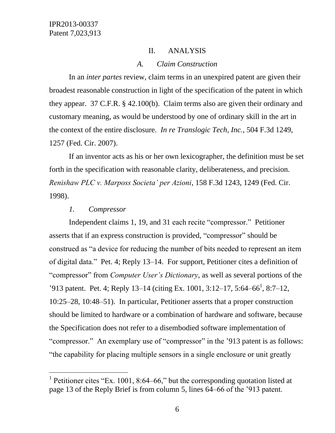## II. ANALYSIS

#### *A. Claim Construction*

In an *inter partes* review, claim terms in an unexpired patent are given their broadest reasonable construction in light of the specification of the patent in which they appear. 37 C.F.R. § 42.100(b). Claim terms also are given their ordinary and customary meaning, as would be understood by one of ordinary skill in the art in the context of the entire disclosure. *In re Translogic Tech, Inc.*, 504 F.3d 1249, 1257 (Fed. Cir. 2007).

If an inventor acts as his or her own lexicographer, the definition must be set forth in the specification with reasonable clarity, deliberateness, and precision. *Renishaw PLC v. Marposs Societa' per Azioni*, 158 F.3d 1243, 1249 (Fed. Cir. 1998).

#### *1. Compressor*

 $\overline{a}$ 

Independent claims 1, 19, and 31 each recite "compressor." Petitioner asserts that if an express construction is provided, "compressor" should be construed as "a device for reducing the number of bits needed to represent an item of digital data." Pet. 4; Reply 13–14. For support, Petitioner cites a definition of "compressor" from *Computer User's Dictionary*, as well as several portions of the '913 patent. Pet. 4; Reply 13–14 (citing Ex. 1001, 3:12–17, 5:64–66<sup>1</sup>, 8:7–12, 10:25–28, 10:48–51). In particular, Petitioner asserts that a proper construction should be limited to hardware or a combination of hardware and software, because the Specification does not refer to a disembodied software implementation of "compressor." An exemplary use of "compressor" in the '913 patent is as follows: "the capability for placing multiple sensors in a single enclosure or unit greatly

<sup>&</sup>lt;sup>1</sup> Petitioner cites "Ex. 1001, 8:64–66," but the corresponding quotation listed at page 13 of the Reply Brief is from column 5, lines 64–66 of the '913 patent.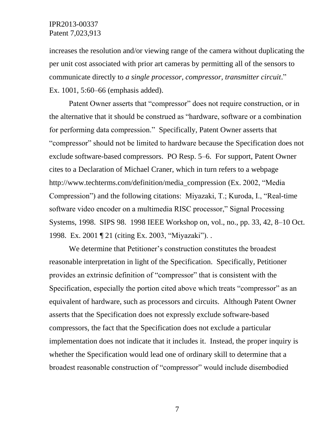increases the resolution and/or viewing range of the camera without duplicating the per unit cost associated with prior art cameras by permitting all of the sensors to communicate directly to *a single processor, compressor, transmitter circuit*." Ex. 1001, 5:60–66 (emphasis added).

Patent Owner asserts that "compressor" does not require construction, or in the alternative that it should be construed as "hardware, software or a combination for performing data compression." Specifically, Patent Owner asserts that "compressor" should not be limited to hardware because the Specification does not exclude software-based compressors. PO Resp. 5–6. For support, Patent Owner cites to a Declaration of Michael Craner, which in turn refers to a webpage [http://www.techterms.com/definition/media\\_compression](http://www.techterms.com/definition/media_compression) (Ex. 2002, "Media Compression") and the following citations: Miyazaki, T.; Kuroda, I., "Real-time software video encoder on a multimedia RISC processor," Signal Processing Systems, 1998. SIPS 98. 1998 IEEE Workshop on, vol., no., pp. 33, 42, 8–10 Oct. 1998. Ex. 2001 ¶ 21 (citing Ex. 2003, "Miyazaki"). .

We determine that Petitioner's construction constitutes the broadest reasonable interpretation in light of the Specification. Specifically, Petitioner provides an extrinsic definition of "compressor" that is consistent with the Specification, especially the portion cited above which treats "compressor" as an equivalent of hardware, such as processors and circuits. Although Patent Owner asserts that the Specification does not expressly exclude software-based compressors, the fact that the Specification does not exclude a particular implementation does not indicate that it includes it. Instead, the proper inquiry is whether the Specification would lead one of ordinary skill to determine that a broadest reasonable construction of "compressor" would include disembodied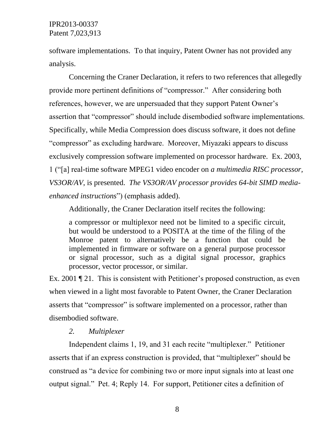software implementations. To that inquiry, Patent Owner has not provided any analysis.

Concerning the Craner Declaration, it refers to two references that allegedly provide more pertinent definitions of "compressor." After considering both references, however, we are unpersuaded that they support Patent Owner's assertion that "compressor" should include disembodied software implementations. Specifically, while Media Compression does discuss software, it does not define "compressor" as excluding hardware. Moreover, Miyazaki appears to discuss exclusively compression software implemented on processor hardware. Ex. 2003, 1 ("[a] real-time software MPEG1 video encoder on *a multimedia RISC processor, VS3OR/AV*, is presented. *The VS3OR/AV processor provides 64-bit SIMD mediaenhanced instructions*") (emphasis added).

Additionally, the Craner Declaration itself recites the following:

a compressor or multiplexor need not be limited to a specific circuit, but would be understood to a POSITA at the time of the filing of the Monroe patent to alternatively be a function that could be implemented in firmware or software on a general purpose processor or signal processor, such as a digital signal processor, graphics processor, vector processor, or similar.

Ex. 2001 ¶ 21. This is consistent with Petitioner's proposed construction, as even when viewed in a light most favorable to Patent Owner, the Craner Declaration asserts that "compressor" is software implemented on a processor, rather than disembodied software.

#### *2. Multiplexer*

Independent claims 1, 19, and 31 each recite "multiplexer." Petitioner asserts that if an express construction is provided, that "multiplexer" should be construed as "a device for combining two or more input signals into at least one output signal." Pet. 4; Reply 14. For support, Petitioner cites a definition of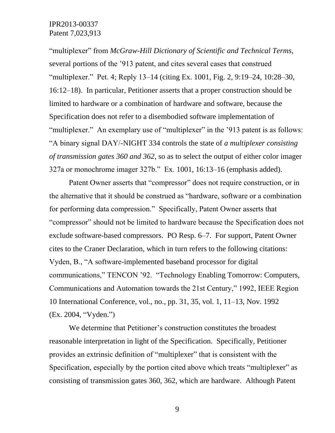"multiplexer" from *McGraw-Hill Dictionary of Scientific and Technical Terms*, several portions of the '913 patent, and cites several cases that construed "multiplexer." Pet. 4; Reply 13–14 (citing Ex. 1001, Fig. 2, 9:19–24, 10:28–30, 16:12–18). In particular, Petitioner asserts that a proper construction should be limited to hardware or a combination of hardware and software, because the Specification does not refer to a disembodied software implementation of "multiplexer." An exemplary use of "multiplexer" in the '913 patent is as follows: "A binary signal DAY/-NIGHT 334 controls the state of *a multiplexer consisting of transmission gates 360 and 362*, so as to select the output of either color imager 327a or monochrome imager 327b." Ex. 1001, 16:13–16 (emphasis added).

Patent Owner asserts that "compressor" does not require construction, or in the alternative that it should be construed as "hardware, software or a combination for performing data compression." Specifically, Patent Owner asserts that "compressor" should not be limited to hardware because the Specification does not exclude software-based compressors. PO Resp. 6–7. For support, Patent Owner cites to the Craner Declaration, which in turn refers to the following citations: Vyden, B., "A software-implemented baseband processor for digital communications," TENCON '92. "Technology Enabling Tomorrow: Computers, Communications and Automation towards the 21st Century," 1992, IEEE Region 10 International Conference, vol., no., pp. 31, 35, vol. 1, 11–13, Nov. 1992 (Ex. 2004, "Vyden.")

We determine that Petitioner's construction constitutes the broadest reasonable interpretation in light of the Specification. Specifically, Petitioner provides an extrinsic definition of "multiplexer" that is consistent with the Specification, especially by the portion cited above which treats "multiplexer" as consisting of transmission gates 360, 362, which are hardware. Although Patent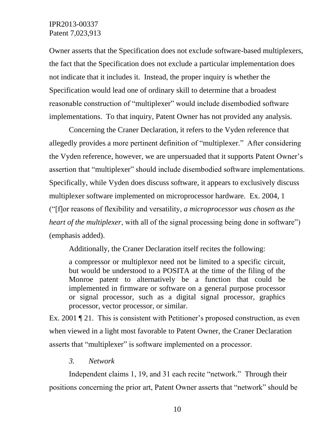Owner asserts that the Specification does not exclude software-based multiplexers, the fact that the Specification does not exclude a particular implementation does not indicate that it includes it. Instead, the proper inquiry is whether the Specification would lead one of ordinary skill to determine that a broadest reasonable construction of "multiplexer" would include disembodied software implementations. To that inquiry, Patent Owner has not provided any analysis.

Concerning the Craner Declaration, it refers to the Vyden reference that allegedly provides a more pertinent definition of "multiplexer." After considering the Vyden reference, however, we are unpersuaded that it supports Patent Owner's assertion that "multiplexer" should include disembodied software implementations. Specifically, while Vyden does discuss software, it appears to exclusively discuss multiplexer software implemented on microprocessor hardware. Ex. 2004, 1 ("[f]or reasons of flexibility and versatility, *a microprocessor was chosen as the heart of the multiplexer*, with all of the signal processing being done in software") (emphasis added).

Additionally, the Craner Declaration itself recites the following:

a compressor or multiplexor need not be limited to a specific circuit, but would be understood to a POSITA at the time of the filing of the Monroe patent to alternatively be a function that could be implemented in firmware or software on a general purpose processor or signal processor, such as a digital signal processor, graphics processor, vector processor, or similar.

Ex. 2001 ¶ 21. This is consistent with Petitioner's proposed construction, as even when viewed in a light most favorable to Patent Owner, the Craner Declaration asserts that "multiplexer" is software implemented on a processor.

*3. Network* 

Independent claims 1, 19, and 31 each recite "network." Through their positions concerning the prior art, Patent Owner asserts that "network" should be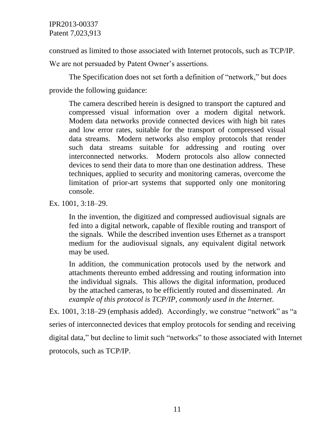construed as limited to those associated with Internet protocols, such as TCP/IP. We are not persuaded by Patent Owner's assertions.

The Specification does not set forth a definition of "network," but does provide the following guidance:

The camera described herein is designed to transport the captured and compressed visual information over a modern digital network. Modem data networks provide connected devices with high bit rates and low error rates, suitable for the transport of compressed visual data streams. Modern networks also employ protocols that render such data streams suitable for addressing and routing over interconnected networks. Modern protocols also allow connected devices to send their data to more than one destination address. These techniques, applied to security and monitoring cameras, overcome the limitation of prior-art systems that supported only one monitoring console.

Ex. 1001, 3:18–29.

In the invention, the digitized and compressed audiovisual signals are fed into a digital network, capable of flexible routing and transport of the signals. While the described invention uses Ethernet as a transport medium for the audiovisual signals, any equivalent digital network may be used.

In addition, the communication protocols used by the network and attachments thereunto embed addressing and routing information into the individual signals. This allows the digital information, produced by the attached cameras, to be efficiently routed and disseminated. *An example of this protocol is TCP/IP, commonly used in the Internet*.

Ex. 1001, 3:18–29 (emphasis added). Accordingly, we construe "network" as "a series of interconnected devices that employ protocols for sending and receiving digital data," but decline to limit such "networks" to those associated with Internet protocols, such as TCP/IP.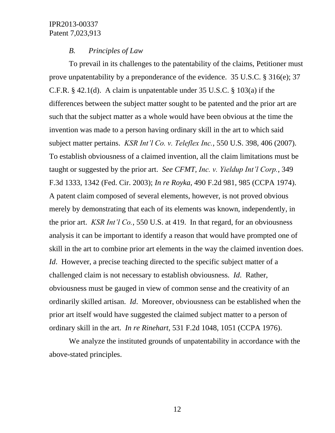## *B. Principles of Law*

To prevail in its challenges to the patentability of the claims, Petitioner must prove unpatentability by a preponderance of the evidence. 35 U.S.C. § 316(e); 37 C.F.R. § 42.1(d). A claim is unpatentable under 35 U.S.C. § 103(a) if the differences between the subject matter sought to be patented and the prior art are such that the subject matter as a whole would have been obvious at the time the invention was made to a person having ordinary skill in the art to which said subject matter pertains. *KSR Int'l Co. v. Teleflex Inc.*, 550 U.S. 398, 406 (2007). To establish obviousness of a claimed invention, all the claim limitations must be taught or suggested by the prior art. *See CFMT, Inc. v. Yieldup Int'l Corp.*, 349 F.3d 1333, 1342 (Fed. Cir. 2003); *In re Royka*, 490 F.2d 981, 985 (CCPA 1974). A patent claim composed of several elements, however, is not proved obvious merely by demonstrating that each of its elements was known, independently, in the prior art. *KSR Int'l Co.*, 550 U.S. at 419. In that regard, for an obviousness analysis it can be important to identify a reason that would have prompted one of skill in the art to combine prior art elements in the way the claimed invention does. *Id*. However, a precise teaching directed to the specific subject matter of a challenged claim is not necessary to establish obviousness. *Id*. Rather, obviousness must be gauged in view of common sense and the creativity of an ordinarily skilled artisan. *Id*. Moreover, obviousness can be established when the prior art itself would have suggested the claimed subject matter to a person of ordinary skill in the art. *In re Rinehart*, 531 F.2d 1048, 1051 (CCPA 1976).

We analyze the instituted grounds of unpatentability in accordance with the above-stated principles.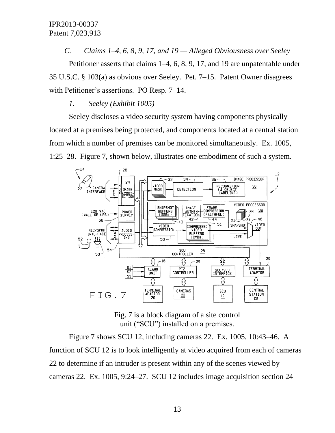*C. Claims 1–4, 6, 8, 9, 17, and 19 — Alleged Obviousness over Seeley*

Petitioner asserts that claims 1–4, 6, 8, 9, 17, and 19 are unpatentable under 35 U.S.C. § 103(a) as obvious over Seeley. Pet. 7–15. Patent Owner disagrees with Petitioner's assertions. PO Resp. 7–14.

#### *1. Seeley (Exhibit 1005)*

Seeley discloses a video security system having components physically located at a premises being protected, and components located at a central station from which a number of premises can be monitored simultaneously. Ex. 1005, 1:25–28. Figure 7, shown below, illustrates one embodiment of such a system.



Fig. 7 is a block diagram of a site control unit ("SCU") installed on a premises.

Figure 7 shows SCU 12, including cameras 22. Ex. 1005, 10:43–46. A function of SCU 12 is to look intelligently at video acquired from each of cameras 22 to determine if an intruder is present within any of the scenes viewed by cameras 22. Ex. 1005, 9:24–27. SCU 12 includes image acquisition section 24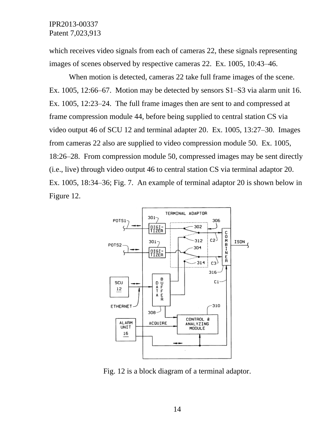which receives video signals from each of cameras 22, these signals representing images of scenes observed by respective cameras 22. Ex. 1005, 10:43–46.

When motion is detected, cameras 22 take full frame images of the scene. Ex. 1005, 12:66–67. Motion may be detected by sensors S1–S3 via alarm unit 16. Ex. 1005, 12:23–24. The full frame images then are sent to and compressed at frame compression module 44, before being supplied to central station CS via video output 46 of SCU 12 and terminal adapter 20. Ex. 1005, 13:27–30. Images from cameras 22 also are supplied to video compression module 50. Ex. 1005, 18:26–28. From compression module 50, compressed images may be sent directly (i.e., live) through video output 46 to central station CS via terminal adaptor 20. Ex. 1005, 18:34–36; Fig. 7. An example of terminal adaptor 20 is shown below in Figure 12.



Fig. 12 is a block diagram of a terminal adaptor.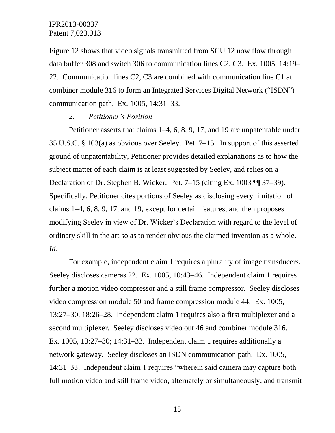Figure 12 shows that video signals transmitted from SCU 12 now flow through data buffer 308 and switch 306 to communication lines C2, C3. Ex. 1005, 14:19– 22. Communication lines C2, C3 are combined with communication line C1 at combiner module 316 to form an Integrated Services Digital Network ("ISDN") communication path. Ex. 1005, 14:31–33.

#### *2. Petitioner's Position*

Petitioner asserts that claims 1–4, 6, 8, 9, 17, and 19 are unpatentable under 35 U.S.C. § 103(a) as obvious over Seeley. Pet. 7–15. In support of this asserted ground of unpatentability, Petitioner provides detailed explanations as to how the subject matter of each claim is at least suggested by Seeley, and relies on a Declaration of Dr. Stephen B. Wicker. Pet. 7–15 (citing Ex. 1003 ¶¶ 37–39). Specifically, Petitioner cites portions of Seeley as disclosing every limitation of claims 1–4, 6, 8, 9, 17, and 19, except for certain features, and then proposes modifying Seeley in view of Dr. Wicker's Declaration with regard to the level of ordinary skill in the art so as to render obvious the claimed invention as a whole. *Id.*

For example, independent claim 1 requires a plurality of image transducers. Seeley discloses cameras 22. Ex. 1005, 10:43–46. Independent claim 1 requires further a motion video compressor and a still frame compressor. Seeley discloses video compression module 50 and frame compression module 44. Ex. 1005, 13:27–30, 18:26–28. Independent claim 1 requires also a first multiplexer and a second multiplexer. Seeley discloses video out 46 and combiner module 316. Ex. 1005, 13:27–30; 14:31–33. Independent claim 1 requires additionally a network gateway. Seeley discloses an ISDN communication path. Ex. 1005, 14:31–33. Independent claim 1 requires "wherein said camera may capture both full motion video and still frame video, alternately or simultaneously, and transmit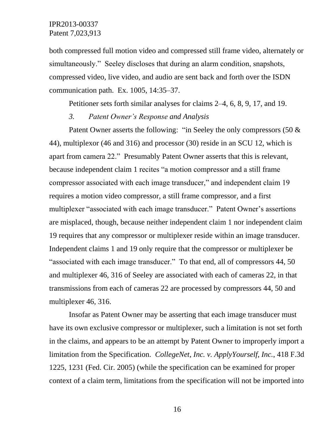both compressed full motion video and compressed still frame video, alternately or simultaneously." Seeley discloses that during an alarm condition, snapshots, compressed video, live video, and audio are sent back and forth over the ISDN communication path. Ex. 1005, 14:35–37.

Petitioner sets forth similar analyses for claims 2–4, 6, 8, 9, 17, and 19.

### *3. Patent Owner's Response and Analysis*

Patent Owner asserts the following: "in Seeley the only compressors  $(50 \&$ 44), multiplexor (46 and 316) and processor (30) reside in an SCU 12, which is apart from camera 22." Presumably Patent Owner asserts that this is relevant, because independent claim 1 recites "a motion compressor and a still frame compressor associated with each image transducer," and independent claim 19 requires a motion video compressor, a still frame compressor, and a first multiplexer "associated with each image transducer." Patent Owner's assertions are misplaced, though, because neither independent claim 1 nor independent claim 19 requires that any compressor or multiplexer reside within an image transducer. Independent claims 1 and 19 only require that the compressor or multiplexer be "associated with each image transducer." To that end, all of compressors 44, 50 and multiplexer 46, 316 of Seeley are associated with each of cameras 22, in that transmissions from each of cameras 22 are processed by compressors 44, 50 and multiplexer 46, 316.

Insofar as Patent Owner may be asserting that each image transducer must have its own exclusive compressor or multiplexer, such a limitation is not set forth in the claims, and appears to be an attempt by Patent Owner to improperly import a limitation from the Specification. *CollegeNet, Inc. v. ApplyYourself, Inc.*, 418 F.3d 1225, 1231 (Fed. Cir. 2005) (while the specification can be examined for proper context of a claim term, limitations from the specification will not be imported into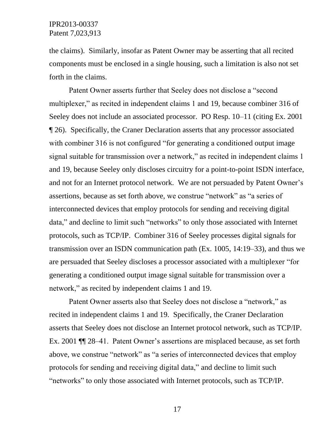the claims). Similarly, insofar as Patent Owner may be asserting that all recited components must be enclosed in a single housing, such a limitation is also not set forth in the claims.

Patent Owner asserts further that Seeley does not disclose a "second multiplexer," as recited in independent claims 1 and 19, because combiner 316 of Seeley does not include an associated processor. PO Resp. 10–11 (citing Ex. 2001 ¶ 26). Specifically, the Craner Declaration asserts that any processor associated with combiner 316 is not configured "for generating a conditioned output image signal suitable for transmission over a network," as recited in independent claims 1 and 19, because Seeley only discloses circuitry for a point-to-point ISDN interface, and not for an Internet protocol network. We are not persuaded by Patent Owner's assertions, because as set forth above, we construe "network" as "a series of interconnected devices that employ protocols for sending and receiving digital data," and decline to limit such "networks" to only those associated with Internet protocols, such as TCP/IP. Combiner 316 of Seeley processes digital signals for transmission over an ISDN communication path (Ex. 1005, 14:19–33), and thus we are persuaded that Seeley discloses a processor associated with a multiplexer "for generating a conditioned output image signal suitable for transmission over a network," as recited by independent claims 1 and 19.

Patent Owner asserts also that Seeley does not disclose a "network," as recited in independent claims 1 and 19. Specifically, the Craner Declaration asserts that Seeley does not disclose an Internet protocol network, such as TCP/IP. Ex. 2001 ¶¶ 28–41. Patent Owner's assertions are misplaced because, as set forth above, we construe "network" as "a series of interconnected devices that employ protocols for sending and receiving digital data," and decline to limit such "networks" to only those associated with Internet protocols, such as TCP/IP.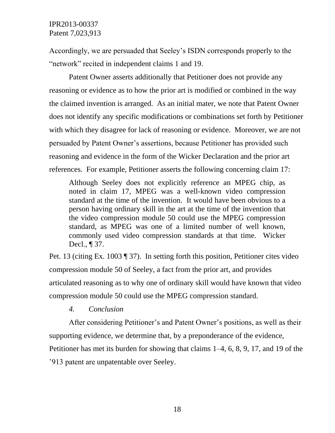Accordingly, we are persuaded that Seeley's ISDN corresponds properly to the "network" recited in independent claims 1 and 19.

Patent Owner asserts additionally that Petitioner does not provide any reasoning or evidence as to how the prior art is modified or combined in the way the claimed invention is arranged. As an initial mater, we note that Patent Owner does not identify any specific modifications or combinations set forth by Petitioner with which they disagree for lack of reasoning or evidence. Moreover, we are not persuaded by Patent Owner's assertions, because Petitioner has provided such reasoning and evidence in the form of the Wicker Declaration and the prior art references. For example, Petitioner asserts the following concerning claim 17:

Although Seeley does not explicitly reference an MPEG chip, as noted in claim 17, MPEG was a well-known video compression standard at the time of the invention. It would have been obvious to a person having ordinary skill in the art at the time of the invention that the video compression module 50 could use the MPEG compression standard, as MPEG was one of a limited number of well known, commonly used video compression standards at that time. Wicker Decl., ¶ 37.

Pet. 13 (citing Ex. 1003 ¶ 37). In setting forth this position, Petitioner cites video compression module 50 of Seeley, a fact from the prior art, and provides articulated reasoning as to why one of ordinary skill would have known that video compression module 50 could use the MPEG compression standard.

*4. Conclusion*

After considering Petitioner's and Patent Owner's positions, as well as their supporting evidence, we determine that, by a preponderance of the evidence, Petitioner has met its burden for showing that claims 1–4, 6, 8, 9, 17, and 19 of the '913 patent are unpatentable over Seeley.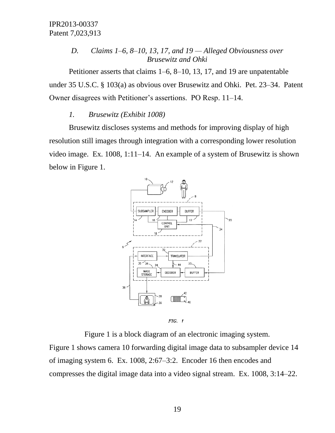## *D. Claims 1–6, 8–10, 13, 17, and 19 — Alleged Obviousness over Brusewitz and Ohki*

Petitioner asserts that claims 1–6, 8–10, 13, 17, and 19 are unpatentable under 35 U.S.C. § 103(a) as obvious over Brusewitz and Ohki. Pet. 23–34. Patent Owner disagrees with Petitioner's assertions. PO Resp. 11–14.

#### *1. Brusewitz (Exhibit 1008)*

Brusewitz discloses systems and methods for improving display of high resolution still images through integration with a corresponding lower resolution video image. Ex. 1008, 1:11–14. An example of a system of Brusewitz is shown below in Figure 1.



FIG. 1

Figure 1 is a block diagram of an electronic imaging system.

Figure 1 shows camera 10 forwarding digital image data to subsampler device 14 of imaging system 6. Ex. 1008, 2:67–3:2. Encoder 16 then encodes and compresses the digital image data into a video signal stream. Ex. 1008, 3:14–22.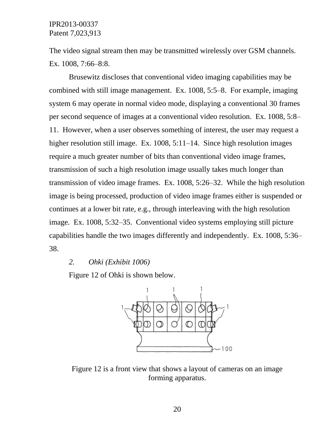The video signal stream then may be transmitted wirelessly over GSM channels. Ex. 1008, 7:66–8:8.

Brusewitz discloses that conventional video imaging capabilities may be combined with still image management. Ex. 1008, 5:5–8. For example, imaging system 6 may operate in normal video mode, displaying a conventional 30 frames per second sequence of images at a conventional video resolution. Ex. 1008, 5:8– 11. However, when a user observes something of interest, the user may request a higher resolution still image. Ex. 1008, 5:11–14. Since high resolution images require a much greater number of bits than conventional video image frames, transmission of such a high resolution image usually takes much longer than transmission of video image frames. Ex. 1008, 5:26–32. While the high resolution image is being processed, production of video image frames either is suspended or continues at a lower bit rate, e.g., through interleaving with the high resolution image. Ex. 1008, 5:32–35. Conventional video systems employing still picture capabilities handle the two images differently and independently. Ex. 1008, 5:36– 38.

#### *2. Ohki (Exhibit 1006)*

Figure 12 of Ohki is shown below.



Figure 12 is a front view that shows a layout of cameras on an image forming apparatus.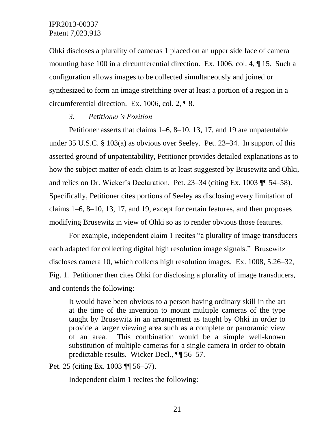Ohki discloses a plurality of cameras 1 placed on an upper side face of camera mounting base 100 in a circumferential direction. Ex. 1006, col. 4, ¶ 15. Such a configuration allows images to be collected simultaneously and joined or synthesized to form an image stretching over at least a portion of a region in a circumferential direction. Ex. 1006, col. 2, ¶ 8.

#### *3. Petitioner's Position*

Petitioner asserts that claims 1–6, 8–10, 13, 17, and 19 are unpatentable under 35 U.S.C. § 103(a) as obvious over Seeley. Pet. 23–34. In support of this asserted ground of unpatentability, Petitioner provides detailed explanations as to how the subject matter of each claim is at least suggested by Brusewitz and Ohki, and relies on Dr. Wicker's Declaration. Pet. 23–34 (citing Ex. 1003 ¶¶ 54–58). Specifically, Petitioner cites portions of Seeley as disclosing every limitation of claims 1–6, 8–10, 13, 17, and 19, except for certain features, and then proposes modifying Brusewitz in view of Ohki so as to render obvious those features.

For example, independent claim 1 recites "a plurality of image transducers each adapted for collecting digital high resolution image signals." Brusewitz discloses camera 10, which collects high resolution images. Ex. 1008, 5:26–32, Fig. 1. Petitioner then cites Ohki for disclosing a plurality of image transducers, and contends the following:

It would have been obvious to a person having ordinary skill in the art at the time of the invention to mount multiple cameras of the type taught by Brusewitz in an arrangement as taught by Ohki in order to provide a larger viewing area such as a complete or panoramic view of an area. This combination would be a simple well-known substitution of multiple cameras for a single camera in order to obtain predictable results. Wicker Decl., ¶¶ 56–57.

Pet. 25 (citing Ex. 1003 ¶¶ 56–57).

Independent claim 1 recites the following: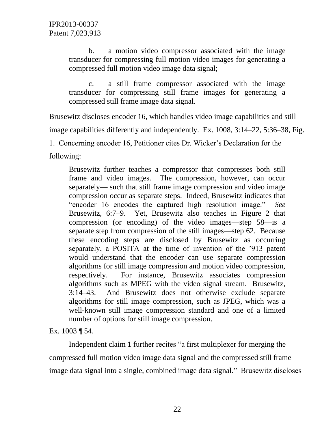b. a motion video compressor associated with the image transducer for compressing full motion video images for generating a compressed full motion video image data signal;

c. a still frame compressor associated with the image transducer for compressing still frame images for generating a compressed still frame image data signal.

Brusewitz discloses encoder 16, which handles video image capabilities and still

image capabilities differently and independently. Ex. 1008, 3:14–22, 5:36–38, Fig.

1. Concerning encoder 16, Petitioner cites Dr. Wicker's Declaration for the

following:

Brusewitz further teaches a compressor that compresses both still frame and video images. The compression, however, can occur separately— such that still frame image compression and video image compression occur as separate steps. Indeed, Brusewitz indicates that "encoder 16 encodes the captured high resolution image." *See* Brusewitz, 6:7–9. Yet, Brusewitz also teaches in Figure 2 that compression (or encoding) of the video images—step 58—is a separate step from compression of the still images—step 62. Because these encoding steps are disclosed by Brusewitz as occurring separately, a POSITA at the time of invention of the '913 patent would understand that the encoder can use separate compression algorithms for still image compression and motion video compression, respectively. For instance, Brusewitz associates compression algorithms such as MPEG with the video signal stream. Brusewitz, 3:14–43. And Brusewitz does not otherwise exclude separate algorithms for still image compression, such as JPEG, which was a well-known still image compression standard and one of a limited number of options for still image compression.

#### Ex. 1003 ¶ 54.

Independent claim 1 further recites "a first multiplexer for merging the compressed full motion video image data signal and the compressed still frame image data signal into a single, combined image data signal." Brusewitz discloses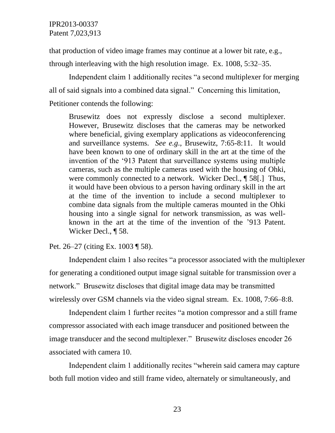that production of video image frames may continue at a lower bit rate, e.g., through interleaving with the high resolution image. Ex. 1008, 5:32–35.

Independent claim 1 additionally recites "a second multiplexer for merging all of said signals into a combined data signal." Concerning this limitation, Petitioner contends the following:

Brusewitz does not expressly disclose a second multiplexer. However, Brusewitz discloses that the cameras may be networked where beneficial, giving exemplary applications as videoconferencing and surveillance systems. *See e.g*., Brusewitz, 7:65-8:11. It would have been known to one of ordinary skill in the art at the time of the invention of the '913 Patent that surveillance systems using multiple cameras, such as the multiple cameras used with the housing of Ohki, were commonly connected to a network. Wicker Decl., ¶ 58[.] Thus, it would have been obvious to a person having ordinary skill in the art at the time of the invention to include a second multiplexer to combine data signals from the multiple cameras mounted in the Ohki housing into a single signal for network transmission, as was wellknown in the art at the time of the invention of the '913 Patent. Wicker Decl., ¶ 58.

#### Pet. 26–27 (citing Ex. 1003 ¶ 58).

Independent claim 1 also recites "a processor associated with the multiplexer for generating a conditioned output image signal suitable for transmission over a network." Brusewitz discloses that digital image data may be transmitted wirelessly over GSM channels via the video signal stream. Ex. 1008, 7:66–8:8.

Independent claim 1 further recites "a motion compressor and a still frame compressor associated with each image transducer and positioned between the image transducer and the second multiplexer." Brusewitz discloses encoder 26 associated with camera 10.

Independent claim 1 additionally recites "wherein said camera may capture both full motion video and still frame video, alternately or simultaneously, and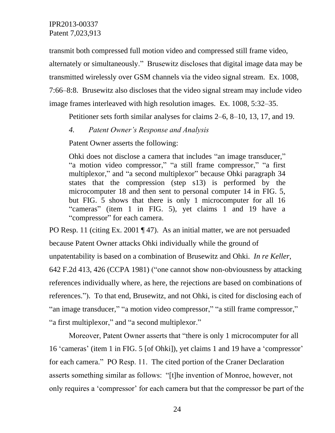transmit both compressed full motion video and compressed still frame video, alternately or simultaneously." Brusewitz discloses that digital image data may be transmitted wirelessly over GSM channels via the video signal stream. Ex. 1008, 7:66–8:8. Brusewitz also discloses that the video signal stream may include video image frames interleaved with high resolution images. Ex. 1008, 5:32–35.

Petitioner sets forth similar analyses for claims 2–6, 8–10, 13, 17, and 19.

## *4. Patent Owner's Response and Analysis*

Patent Owner asserts the following:

Ohki does not disclose a camera that includes "an image transducer," "a motion video compressor," "a still frame compressor," "a first multiplexor," and "a second multiplexor" because Ohki paragraph 34 states that the compression (step s13) is performed by the microcomputer 18 and then sent to personal computer 14 in FIG. 5, but FIG. 5 shows that there is only 1 microcomputer for all 16 "cameras" (item 1 in FIG. 5), yet claims 1 and 19 have a "compressor" for each camera.

PO Resp. 11 (citing Ex. 2001 ¶ 47). As an initial matter, we are not persuaded because Patent Owner attacks Ohki individually while the ground of unpatentability is based on a combination of Brusewitz and Ohki. *In re Keller*, 642 F.2d 413, 426 (CCPA 1981) ("one cannot show non-obviousness by attacking references individually where, as here, the rejections are based on combinations of references."). To that end, Brusewitz, and not Ohki, is cited for disclosing each of "an image transducer," "a motion video compressor," "a still frame compressor," "a first multiplexor," and "a second multiplexor."

Moreover, Patent Owner asserts that "there is only 1 microcomputer for all 16 'cameras' (item 1 in FIG. 5 [of Ohki]), yet claims 1 and 19 have a 'compressor' for each camera." PO Resp. 11. The cited portion of the Craner Declaration asserts something similar as follows: "[t]he invention of Monroe, however, not only requires a 'compressor' for each camera but that the compressor be part of the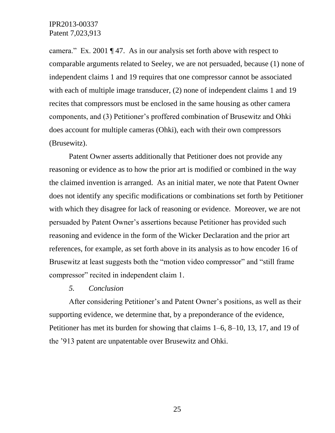camera." Ex. 2001 ¶ 47. As in our analysis set forth above with respect to comparable arguments related to Seeley, we are not persuaded, because (1) none of independent claims 1 and 19 requires that one compressor cannot be associated with each of multiple image transducer, (2) none of independent claims 1 and 19 recites that compressors must be enclosed in the same housing as other camera components, and (3) Petitioner's proffered combination of Brusewitz and Ohki does account for multiple cameras (Ohki), each with their own compressors (Brusewitz).

Patent Owner asserts additionally that Petitioner does not provide any reasoning or evidence as to how the prior art is modified or combined in the way the claimed invention is arranged. As an initial mater, we note that Patent Owner does not identify any specific modifications or combinations set forth by Petitioner with which they disagree for lack of reasoning or evidence. Moreover, we are not persuaded by Patent Owner's assertions because Petitioner has provided such reasoning and evidence in the form of the Wicker Declaration and the prior art references, for example, as set forth above in its analysis as to how encoder 16 of Brusewitz at least suggests both the "motion video compressor" and "still frame compressor" recited in independent claim 1.

#### *5. Conclusion*

After considering Petitioner's and Patent Owner's positions, as well as their supporting evidence, we determine that, by a preponderance of the evidence, Petitioner has met its burden for showing that claims 1–6, 8–10, 13, 17, and 19 of the '913 patent are unpatentable over Brusewitz and Ohki.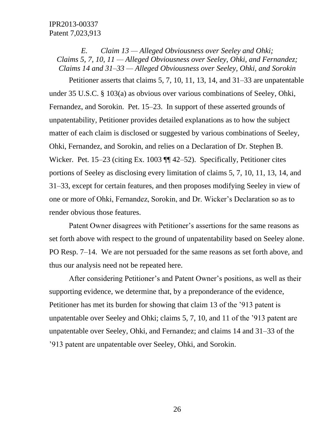*E. Claim 13 — Alleged Obviousness over Seeley and Ohki; Claims 5, 7, 10, 11 — Alleged Obviousness over Seeley, Ohki, and Fernandez; Claims 14 and 31–33 — Alleged Obviousness over Seeley, Ohki, and Sorokin*

Petitioner asserts that claims 5, 7, 10, 11, 13, 14, and 31–33 are unpatentable under 35 U.S.C. § 103(a) as obvious over various combinations of Seeley, Ohki, Fernandez, and Sorokin. Pet. 15–23. In support of these asserted grounds of unpatentability, Petitioner provides detailed explanations as to how the subject matter of each claim is disclosed or suggested by various combinations of Seeley, Ohki, Fernandez, and Sorokin, and relies on a Declaration of Dr. Stephen B. Wicker. Pet. 15–23 (citing Ex. 1003  $\P$  42–52). Specifically, Petitioner cites portions of Seeley as disclosing every limitation of claims 5, 7, 10, 11, 13, 14, and 31–33, except for certain features, and then proposes modifying Seeley in view of one or more of Ohki, Fernandez, Sorokin, and Dr. Wicker's Declaration so as to render obvious those features.

Patent Owner disagrees with Petitioner's assertions for the same reasons as set forth above with respect to the ground of unpatentability based on Seeley alone. PO Resp. 7–14. We are not persuaded for the same reasons as set forth above, and thus our analysis need not be repeated here.

After considering Petitioner's and Patent Owner's positions, as well as their supporting evidence, we determine that, by a preponderance of the evidence, Petitioner has met its burden for showing that claim 13 of the '913 patent is unpatentable over Seeley and Ohki; claims 5, 7, 10, and 11 of the '913 patent are unpatentable over Seeley, Ohki, and Fernandez; and claims 14 and 31–33 of the '913 patent are unpatentable over Seeley, Ohki, and Sorokin.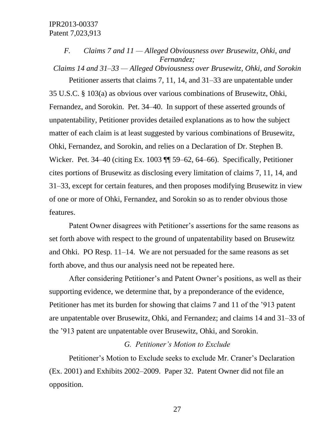# *F. Claims 7 and 11 — Alleged Obviousness over Brusewitz, Ohki, and Fernandez;*

*Claims 14 and 31–33 — Alleged Obviousness over Brusewitz, Ohki, and Sorokin*

Petitioner asserts that claims 7, 11, 14, and 31–33 are unpatentable under 35 U.S.C. § 103(a) as obvious over various combinations of Brusewitz, Ohki, Fernandez, and Sorokin. Pet. 34–40. In support of these asserted grounds of unpatentability, Petitioner provides detailed explanations as to how the subject matter of each claim is at least suggested by various combinations of Brusewitz, Ohki, Fernandez, and Sorokin, and relies on a Declaration of Dr. Stephen B. Wicker. Pet. 34–40 (citing Ex. 1003 ¶¶ 59–62, 64–66). Specifically, Petitioner cites portions of Brusewitz as disclosing every limitation of claims 7, 11, 14, and 31–33, except for certain features, and then proposes modifying Brusewitz in view of one or more of Ohki, Fernandez, and Sorokin so as to render obvious those features.

Patent Owner disagrees with Petitioner's assertions for the same reasons as set forth above with respect to the ground of unpatentability based on Brusewitz and Ohki. PO Resp. 11–14. We are not persuaded for the same reasons as set forth above, and thus our analysis need not be repeated here.

After considering Petitioner's and Patent Owner's positions, as well as their supporting evidence, we determine that, by a preponderance of the evidence, Petitioner has met its burden for showing that claims 7 and 11 of the '913 patent are unpatentable over Brusewitz, Ohki, and Fernandez; and claims 14 and 31–33 of the '913 patent are unpatentable over Brusewitz, Ohki, and Sorokin.

### *G. Petitioner's Motion to Exclude*

Petitioner's Motion to Exclude seeks to exclude Mr. Craner's Declaration (Ex. 2001) and Exhibits 2002–2009. Paper 32. Patent Owner did not file an opposition.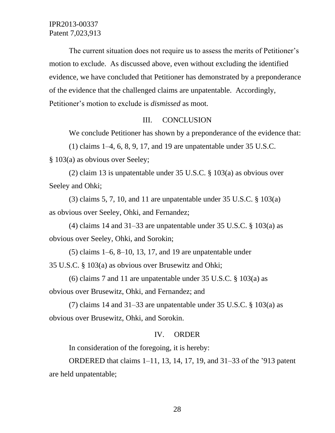The current situation does not require us to assess the merits of Petitioner's motion to exclude. As discussed above, even without excluding the identified evidence, we have concluded that Petitioner has demonstrated by a preponderance of the evidence that the challenged claims are unpatentable. Accordingly, Petitioner's motion to exclude is *dismissed* as moot.

#### III. CONCLUSION

We conclude Petitioner has shown by a preponderance of the evidence that:

(1) claims 1–4, 6, 8, 9, 17, and 19 are unpatentable under 35 U.S.C. § 103(a) as obvious over Seeley;

(2) claim 13 is unpatentable under 35 U.S.C. § 103(a) as obvious over Seeley and Ohki;

(3) claims 5, 7, 10, and 11 are unpatentable under  $35 \text{ U.S.C. }$  §  $103(a)$ as obvious over Seeley, Ohki, and Fernandez;

(4) claims 14 and 31–33 are unpatentable under 35 U.S.C.  $\S$  103(a) as obvious over Seeley, Ohki, and Sorokin;

 $(5)$  claims  $1-6$ ,  $8-10$ ,  $13$ ,  $17$ , and  $19$  are unpatentable under 35 U.S.C. § 103(a) as obvious over Brusewitz and Ohki;

(6) claims 7 and 11 are unpatentable under 35 U.S.C. § 103(a) as obvious over Brusewitz, Ohki, and Fernandez; and

(7) claims 14 and 31–33 are unpatentable under 35 U.S.C.  $\S$  103(a) as obvious over Brusewitz, Ohki, and Sorokin.

#### IV. ORDER

In consideration of the foregoing, it is hereby:

ORDERED that claims 1–11, 13, 14, 17, 19, and 31–33 of the '913 patent are held unpatentable;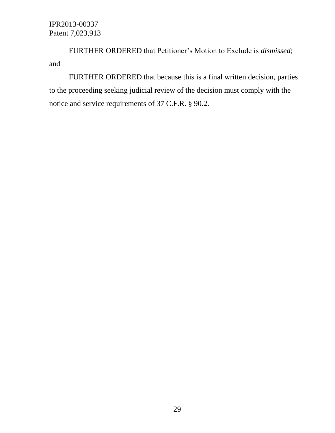FURTHER ORDERED that Petitioner's Motion to Exclude is *dismissed*; and

FURTHER ORDERED that because this is a final written decision, parties to the proceeding seeking judicial review of the decision must comply with the notice and service requirements of 37 C.F.R. § 90.2.